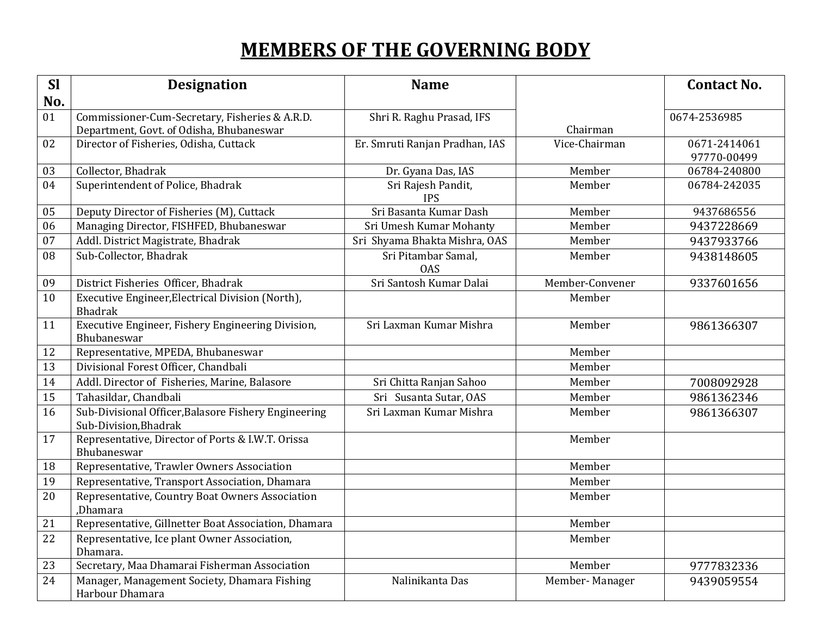# **MEMBERS OF THE GOVERNING BODY**

| <b>Sl</b> | <b>Designation</b>                                                            | <b>Name</b>                       |                 | <b>Contact No.</b> |
|-----------|-------------------------------------------------------------------------------|-----------------------------------|-----------------|--------------------|
| No.       |                                                                               |                                   |                 |                    |
| 01        | Commissioner-Cum-Secretary, Fisheries & A.R.D.                                | Shri R. Raghu Prasad, IFS         |                 | 0674-2536985       |
|           | Department, Govt. of Odisha, Bhubaneswar                                      |                                   | Chairman        |                    |
| 02        | Director of Fisheries, Odisha, Cuttack                                        | Er. Smruti Ranjan Pradhan, IAS    | Vice-Chairman   | 0671-2414061       |
|           |                                                                               |                                   |                 | 97770-00499        |
| 03        | Collector, Bhadrak                                                            | Dr. Gyana Das, IAS                | Member          | 06784-240800       |
| 04        | Superintendent of Police, Bhadrak                                             | Sri Rajesh Pandit,<br><b>IPS</b>  | Member          | 06784-242035       |
| 05        | Deputy Director of Fisheries (M), Cuttack                                     | Sri Basanta Kumar Dash            | Member          | 9437686556         |
| 06        | Managing Director, FISHFED, Bhubaneswar                                       | Sri Umesh Kumar Mohanty           | Member          | 9437228669         |
| 07        | Addl. District Magistrate, Bhadrak                                            | Sri Shyama Bhakta Mishra, OAS     | Member          | 9437933766         |
| 08        | Sub-Collector, Bhadrak                                                        | Sri Pitambar Samal,<br><b>OAS</b> | Member          | 9438148605         |
| 09        | District Fisheries Officer, Bhadrak                                           | Sri Santosh Kumar Dalai           | Member-Convener | 9337601656         |
| 10        | Executive Engineer, Electrical Division (North),<br><b>Bhadrak</b>            |                                   | Member          |                    |
| 11        | Executive Engineer, Fishery Engineering Division,<br>Bhubaneswar              | Sri Laxman Kumar Mishra           | Member          | 9861366307         |
| 12        | Representative, MPEDA, Bhubaneswar                                            |                                   | Member          |                    |
| 13        | Divisional Forest Officer, Chandbali                                          |                                   | Member          |                    |
| 14        | Addl. Director of Fisheries, Marine, Balasore                                 | Sri Chitta Ranjan Sahoo           | Member          | 7008092928         |
| 15        | Tahasildar, Chandbali                                                         | Sri Susanta Sutar, OAS            | Member          | 9861362346         |
| 16        | Sub-Divisional Officer, Balasore Fishery Engineering<br>Sub-Division, Bhadrak | Sri Laxman Kumar Mishra           | Member          | 9861366307         |
| 17        | Representative, Director of Ports & I.W.T. Orissa<br>Bhubaneswar              |                                   | Member          |                    |
| 18        | Representative, Trawler Owners Association                                    |                                   | Member          |                    |
| 19        | Representative, Transport Association, Dhamara                                |                                   | Member          |                    |
| 20        | Representative, Country Boat Owners Association<br>,Dhamara                   |                                   | Member          |                    |
| 21        | Representative, Gillnetter Boat Association, Dhamara                          |                                   | Member          |                    |
| 22        | Representative, Ice plant Owner Association,<br>Dhamara.                      |                                   | Member          |                    |
| 23        | Secretary, Maa Dhamarai Fisherman Association                                 |                                   | Member          | 9777832336         |
| 24        | Manager, Management Society, Dhamara Fishing<br>Harbour Dhamara               | Nalinikanta Das                   | Member-Manager  | 9439059554         |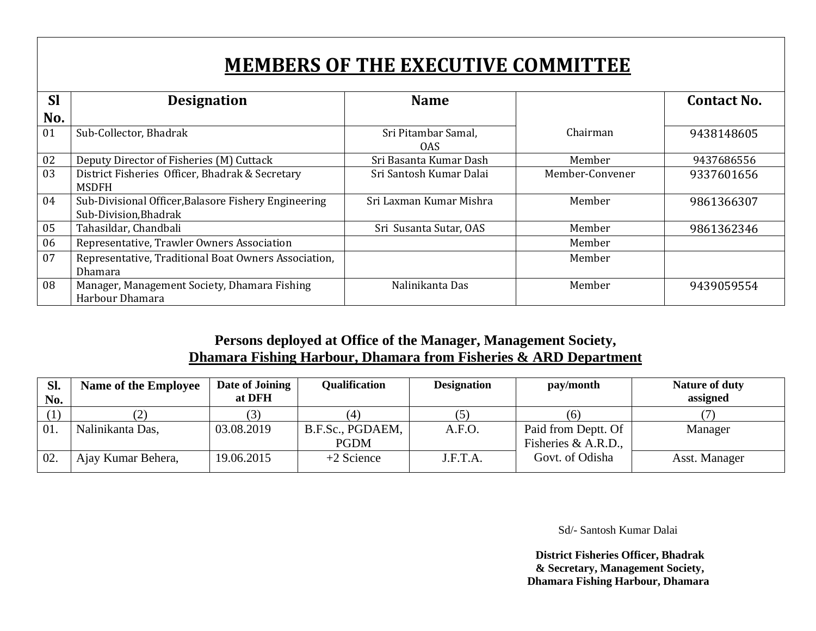# **MEMBERS OF THE EXECUTIVE COMMITTEE**

| <b>Sl</b> | <b>Designation</b>                                   | <b>Name</b>             |                 | <b>Contact No.</b> |
|-----------|------------------------------------------------------|-------------------------|-----------------|--------------------|
| No.       |                                                      |                         |                 |                    |
| 01        | Sub-Collector, Bhadrak                               | Sri Pitambar Samal,     | Chairman        | 9438148605         |
|           |                                                      | 0AS                     |                 |                    |
| 02        | Deputy Director of Fisheries (M) Cuttack             | Sri Basanta Kumar Dash  | Member          | 9437686556         |
| 03        | District Fisheries Officer, Bhadrak & Secretary      | Sri Santosh Kumar Dalai | Member-Convener | 9337601656         |
|           | <b>MSDFH</b>                                         |                         |                 |                    |
| 04        | Sub-Divisional Officer, Balasore Fishery Engineering | Sri Laxman Kumar Mishra | Member          | 9861366307         |
|           | Sub-Division, Bhadrak                                |                         |                 |                    |
| 05        | Tahasildar, Chandbali                                | Sri Susanta Sutar, OAS  | Member          | 9861362346         |
| 06        | Representative, Trawler Owners Association           |                         | Member          |                    |
| 07        | Representative, Traditional Boat Owners Association, |                         | Member          |                    |
|           | Dhamara                                              |                         |                 |                    |
| 08        | Manager, Management Society, Dhamara Fishing         | Nalinikanta Das         | Member          | 9439059554         |
|           | Harbour Dhamara                                      |                         |                 |                    |

### **Persons deployed at Office of the Manager, Management Society, Dhamara Fishing Harbour, Dhamara from Fisheries & ARD Department**

| Sl.<br>No. | <b>Name of the Employee</b> | Date of Joining<br>at DFH | <b>Qualification</b> | <b>Designation</b> | pay/month           | <b>Nature of duty</b><br>assigned |
|------------|-----------------------------|---------------------------|----------------------|--------------------|---------------------|-----------------------------------|
|            | ر ک                         |                           |                      | (5)                | (6)                 |                                   |
| 01.        | Nalinikanta Das,            | 03.08.2019                | B.F.Sc., PGDAEM,     | A.F.O.             | Paid from Deptt. Of | Manager                           |
|            |                             |                           | <b>PGDM</b>          |                    | Fisheries & A.R.D., |                                   |
| 02         | Ajay Kumar Behera,          | 19.06.2015                | $+2$ Science         | J.F.T.A.           | Govt. of Odisha     | Asst. Manager                     |

Sd/- Santosh Kumar Dalai

 **District Fisheries Officer, Bhadrak & Secretary, Management Society, Dhamara Fishing Harbour, Dhamara**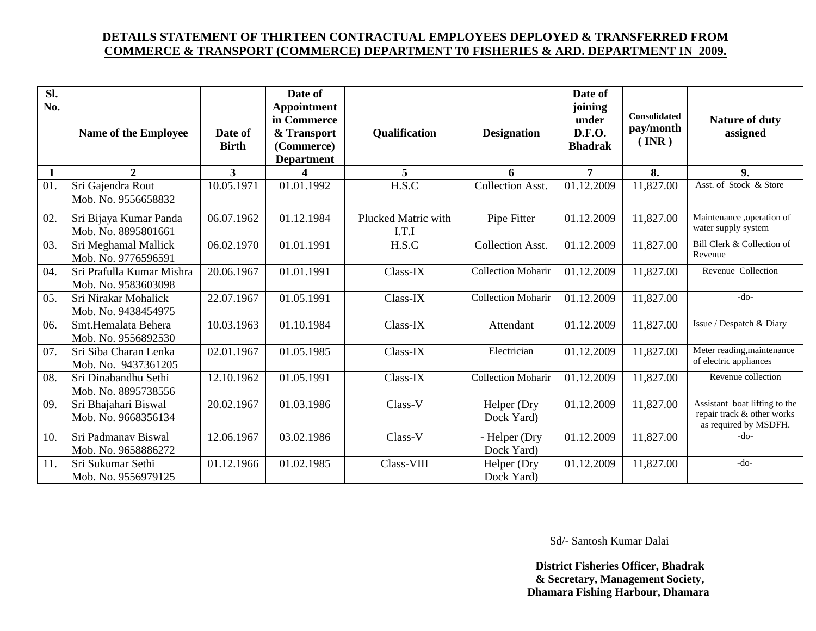#### **DETAILS STATEMENT OF THIRTEEN CONTRACTUAL EMPLOYEES DEPLOYED & TRANSFERRED FROM COMMERCE & TRANSPORT (COMMERCE) DEPARTMENT T0 FISHERIES & ARD. DEPARTMENT IN 2009.**

| Sl.<br>No.   | Name of the Employee                             | Date of<br><b>Birth</b> | Date of<br>Appointment<br>in Commerce<br>& Transport<br>(Commerce)<br><b>Department</b> | <b>Qualification</b>         | <b>Designation</b>          | Date of<br>joining<br>under<br><b>D.F.O.</b><br><b>Bhadrak</b> | Consolidated<br>pay/month<br>$(\overline{\text{INR}})$ | Nature of duty<br>assigned                                                           |
|--------------|--------------------------------------------------|-------------------------|-----------------------------------------------------------------------------------------|------------------------------|-----------------------------|----------------------------------------------------------------|--------------------------------------------------------|--------------------------------------------------------------------------------------|
| $\mathbf{1}$ | $\overline{2}$                                   | 3 <sup>1</sup>          |                                                                                         | 5                            | 6                           | $\overline{7}$                                                 | 8.                                                     | 9.                                                                                   |
| 01.          | Sri Gajendra Rout<br>Mob. No. 9556658832         | 10.05.1971              | 01.01.1992                                                                              | H.S.C                        | <b>Collection Asst.</b>     | 01.12.2009                                                     | 11,827.00                                              | Asst. of Stock & Store                                                               |
| 02.          | Sri Bijaya Kumar Panda<br>Mob. No. 8895801661    | 06.07.1962              | 01.12.1984                                                                              | Plucked Matric with<br>I.T.I | Pipe Fitter                 | 01.12.2009                                                     | 11,827.00                                              | Maintenance ,operation of<br>water supply system                                     |
| 03.          | Sri Meghamal Mallick<br>Mob. No. 9776596591      | 06.02.1970              | 01.01.1991                                                                              | H.S.C                        | <b>Collection Asst.</b>     | 01.12.2009                                                     | 11,827.00                                              | Bill Clerk & Collection of<br>Revenue                                                |
| 04.          | Sri Prafulla Kumar Mishra<br>Mob. No. 9583603098 | 20.06.1967              | 01.01.1991                                                                              | Class-IX                     | <b>Collection Moharir</b>   | 01.12.2009                                                     | 11,827.00                                              | Revenue Collection                                                                   |
| 05.          | Sri Nirakar Mohalick<br>Mob. No. 9438454975      | 22.07.1967              | 01.05.1991                                                                              | Class-IX                     | <b>Collection Moharir</b>   | 01.12.2009                                                     | 11,827.00                                              | $-do-$                                                                               |
| 06.          | Smt.Hemalata Behera<br>Mob. No. 9556892530       | 10.03.1963              | 01.10.1984                                                                              | Class-IX                     | Attendant                   | 01.12.2009                                                     | 11,827.00                                              | Issue / Despatch & Diary                                                             |
| 07.          | Sri Siba Charan Lenka<br>Mob. No. 9437361205     | 02.01.1967              | 01.05.1985                                                                              | Class-IX                     | Electrician                 | 01.12.2009                                                     | 11,827.00                                              | Meter reading, maintenance<br>of electric appliances                                 |
| 08.          | Sri Dinabandhu Sethi<br>Mob. No. 8895738556      | 12.10.1962              | 01.05.1991                                                                              | Class-IX                     | <b>Collection Moharir</b>   | 01.12.2009                                                     | 11,827.00                                              | Revenue collection                                                                   |
| 09.          | Sri Bhajahari Biswal<br>Mob. No. 9668356134      | 20.02.1967              | 01.03.1986                                                                              | Class-V                      | Helper (Dry<br>Dock Yard)   | 01.12.2009                                                     | 11,827.00                                              | Assistant boat lifting to the<br>repair track & other works<br>as required by MSDFH. |
| 10.          | Sri Padmanav Biswal<br>Mob. No. 9658886272       | 12.06.1967              | 03.02.1986                                                                              | Class-V                      | - Helper (Dry<br>Dock Yard) | 01.12.2009                                                     | 11,827.00                                              | $-do-$                                                                               |
| 11.          | Sri Sukumar Sethi<br>Mob. No. 9556979125         | 01.12.1966              | 01.02.1985                                                                              | Class-VIII                   | Helper (Dry<br>Dock Yard)   | 01.12.2009                                                     | 11,827.00                                              | $-do-$                                                                               |

Sd/- Santosh Kumar Dalai